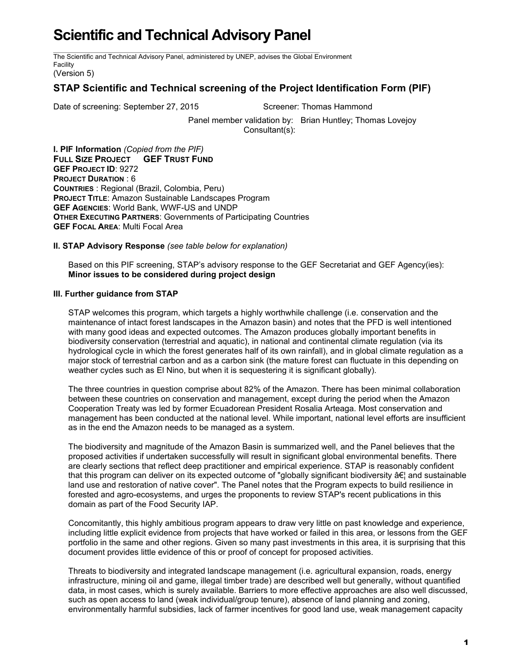## **Scientific and Technical Advisory Panel**

The Scientific and Technical Advisory Panel, administered by UNEP, advises the Global Environment Facility

(Version 5)

## **STAP Scientific and Technical screening of the Project Identification Form (PIF)**

Date of screening: September 27, 2015 Screener: Thomas Hammond

Panel member validation by: Brian Huntley; Thomas Lovejoy Consultant(s):

**I. PIF Information** *(Copied from the PIF)* **FULL SIZE PROJECT GEF TRUST FUND GEF PROJECT ID**: 9272 **PROJECT DURATION** : 6 **COUNTRIES** : Regional (Brazil, Colombia, Peru) **PROJECT TITLE**: Amazon Sustainable Landscapes Program **GEF AGENCIES**: World Bank, WWF-US and UNDP **OTHER EXECUTING PARTNERS**: Governments of Participating Countries **GEF FOCAL AREA**: Multi Focal Area

**II. STAP Advisory Response** *(see table below for explanation)*

Based on this PIF screening, STAP's advisory response to the GEF Secretariat and GEF Agency(ies): **Minor issues to be considered during project design**

## **III. Further guidance from STAP**

STAP welcomes this program, which targets a highly worthwhile challenge (i.e. conservation and the maintenance of intact forest landscapes in the Amazon basin) and notes that the PFD is well intentioned with many good ideas and expected outcomes. The Amazon produces globally important benefits in biodiversity conservation (terrestrial and aquatic), in national and continental climate regulation (via its hydrological cycle in which the forest generates half of its own rainfall), and in global climate regulation as a major stock of terrestrial carbon and as a carbon sink (the mature forest can fluctuate in this depending on weather cycles such as El Nino, but when it is sequestering it is significant globally).

The three countries in question comprise about 82% of the Amazon. There has been minimal collaboration between these countries on conservation and management, except during the period when the Amazon Cooperation Treaty was led by former Ecuadorean President Rosalia Arteaga. Most conservation and management has been conducted at the national level. While important, national level efforts are insufficient as in the end the Amazon needs to be managed as a system.

The biodiversity and magnitude of the Amazon Basin is summarized well, and the Panel believes that the proposed activities if undertaken successfully will result in significant global environmental benefits. There are clearly sections that reflect deep practitioner and empirical experience. STAP is reasonably confident that this program can deliver on its expected outcome of "globally significant biodiversity … and sustainable land use and restoration of native cover". The Panel notes that the Program expects to build resilience in forested and agro-ecosystems, and urges the proponents to review STAP's recent publications in this domain as part of the Food Security IAP.

Concomitantly, this highly ambitious program appears to draw very little on past knowledge and experience, including little explicit evidence from projects that have worked or failed in this area, or lessons from the GEF portfolio in the same and other regions. Given so many past investments in this area, it is surprising that this document provides little evidence of this or proof of concept for proposed activities.

Threats to biodiversity and integrated landscape management (i.e. agricultural expansion, roads, energy infrastructure, mining oil and game, illegal timber trade) are described well but generally, without quantified data, in most cases, which is surely available. Barriers to more effective approaches are also well discussed, such as open access to land (weak individual/group tenure), absence of land planning and zoning, environmentally harmful subsidies, lack of farmer incentives for good land use, weak management capacity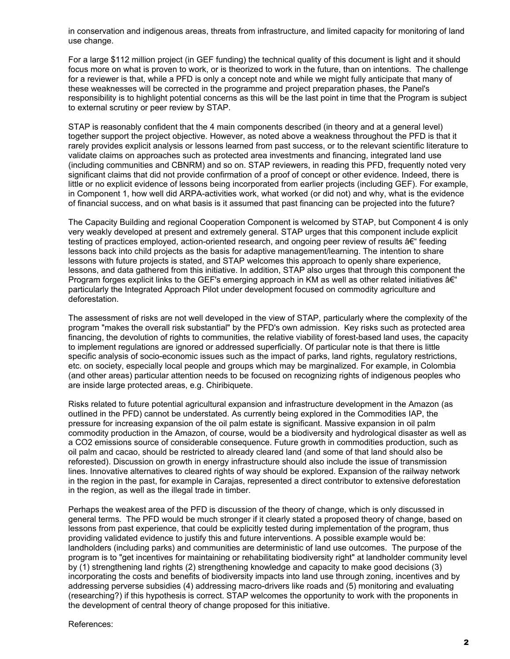in conservation and indigenous areas, threats from infrastructure, and limited capacity for monitoring of land use change.

For a large \$112 million project (in GEF funding) the technical quality of this document is light and it should focus more on what is proven to work, or is theorized to work in the future, than on intentions. The challenge for a reviewer is that, while a PFD is only a concept note and while we might fully anticipate that many of these weaknesses will be corrected in the programme and project preparation phases, the Panel's responsibility is to highlight potential concerns as this will be the last point in time that the Program is subject to external scrutiny or peer review by STAP.

STAP is reasonably confident that the 4 main components described (in theory and at a general level) together support the project objective. However, as noted above a weakness throughout the PFD is that it rarely provides explicit analysis or lessons learned from past success, or to the relevant scientific literature to validate claims on approaches such as protected area investments and financing, integrated land use (including communities and CBNRM) and so on. STAP reviewers, in reading this PFD, frequently noted very significant claims that did not provide confirmation of a proof of concept or other evidence. Indeed, there is little or no explicit evidence of lessons being incorporated from earlier projects (including GEF). For example, in Component 1, how well did ARPA-activities work, what worked (or did not) and why, what is the evidence of financial success, and on what basis is it assumed that past financing can be projected into the future?

The Capacity Building and regional Cooperation Component is welcomed by STAP, but Component 4 is only very weakly developed at present and extremely general. STAP urges that this component include explicit testing of practices employed, action-oriented research, and ongoing peer review of results  $\hat{a} \in \hat{a}$  feeding lessons back into child projects as the basis for adaptive management/learning. The intention to share lessons with future projects is stated, and STAP welcomes this approach to openly share experience, lessons, and data gathered from this initiative. In addition, STAP also urges that through this component the Program forges explicit links to the GEF's emerging approach in KM as well as other related initiatives  $A \epsilon^*$ particularly the Integrated Approach Pilot under development focused on commodity agriculture and deforestation.

The assessment of risks are not well developed in the view of STAP, particularly where the complexity of the program "makes the overall risk substantial" by the PFD's own admission. Key risks such as protected area financing, the devolution of rights to communities, the relative viability of forest-based land uses, the capacity to implement regulations are ignored or addressed superficially. Of particular note is that there is little specific analysis of socio-economic issues such as the impact of parks, land rights, regulatory restrictions, etc. on society, especially local people and groups which may be marginalized. For example, in Colombia (and other areas) particular attention needs to be focused on recognizing rights of indigenous peoples who are inside large protected areas, e.g. Chiribiquete.

Risks related to future potential agricultural expansion and infrastructure development in the Amazon (as outlined in the PFD) cannot be understated. As currently being explored in the Commodities IAP, the pressure for increasing expansion of the oil palm estate is significant. Massive expansion in oil palm commodity production in the Amazon, of course, would be a biodiversity and hydrological disaster as well as a CO2 emissions source of considerable consequence. Future growth in commodities production, such as oil palm and cacao, should be restricted to already cleared land (and some of that land should also be reforested). Discussion on growth in energy infrastructure should also include the issue of transmission lines. Innovative alternatives to cleared rights of way should be explored. Expansion of the railway network in the region in the past, for example in Carajas, represented a direct contributor to extensive deforestation in the region, as well as the illegal trade in timber.

Perhaps the weakest area of the PFD is discussion of the theory of change, which is only discussed in general terms. The PFD would be much stronger if it clearly stated a proposed theory of change, based on lessons from past experience, that could be explicitly tested during implementation of the program, thus providing validated evidence to justify this and future interventions. A possible example would be: landholders (including parks) and communities are deterministic of land use outcomes. The purpose of the program is to "get incentives for maintaining or rehabilitating biodiversity right" at landholder community level by (1) strengthening land rights (2) strengthening knowledge and capacity to make good decisions (3) incorporating the costs and benefits of biodiversity impacts into land use through zoning, incentives and by addressing perverse subsidies (4) addressing macro-drivers like roads and (5) monitoring and evaluating (researching?) if this hypothesis is correct. STAP welcomes the opportunity to work with the proponents in the development of central theory of change proposed for this initiative.